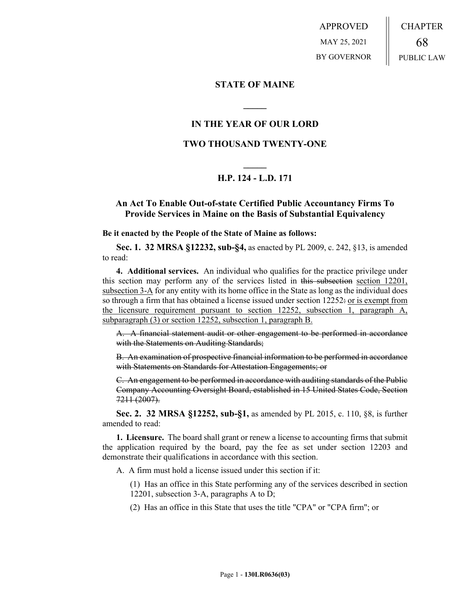APPROVED MAY 25, 2021 BY GOVERNOR CHAPTER 68 PUBLIC LAW

## **STATE OF MAINE**

# **IN THE YEAR OF OUR LORD**

**\_\_\_\_\_**

# **TWO THOUSAND TWENTY-ONE**

# **\_\_\_\_\_ H.P. 124 - L.D. 171**

## **An Act To Enable Out-of-state Certified Public Accountancy Firms To Provide Services in Maine on the Basis of Substantial Equivalency**

#### **Be it enacted by the People of the State of Maine as follows:**

**Sec. 1. 32 MRSA §12232, sub-§4,** as enacted by PL 2009, c. 242, §13, is amended to read:

**4. Additional services.** An individual who qualifies for the practice privilege under this section may perform any of the services listed in this subsection section 12201, subsection 3-A for any entity with its home office in the State as long as the individual does so through a firm that has obtained a license issued under section  $12252 \div \text{or}$  is exempt from the licensure requirement pursuant to section 12252, subsection 1, paragraph A, subparagraph (3) or section 12252, subsection 1, paragraph B.

A. A financial statement audit or other engagement to be performed in accordance with the Statements on Auditing Standards;

B. An examination of prospective financial information to be performed in accordance with Statements on Standards for Attestation Engagements; or

C. An engagement to be performed in accordance with auditing standards of the Public Company Accounting Oversight Board, established in 15 United States Code, Section 7211 (2007).

**Sec. 2. 32 MRSA §12252, sub-§1,** as amended by PL 2015, c. 110, §8, is further amended to read:

**1. Licensure.** The board shall grant or renew a license to accounting firms that submit the application required by the board, pay the fee as set under section 12203 and demonstrate their qualifications in accordance with this section.

A. A firm must hold a license issued under this section if it:

(1) Has an office in this State performing any of the services described in section 12201, subsection 3‑A, paragraphs A to D;

(2) Has an office in this State that uses the title "CPA" or "CPA firm"; or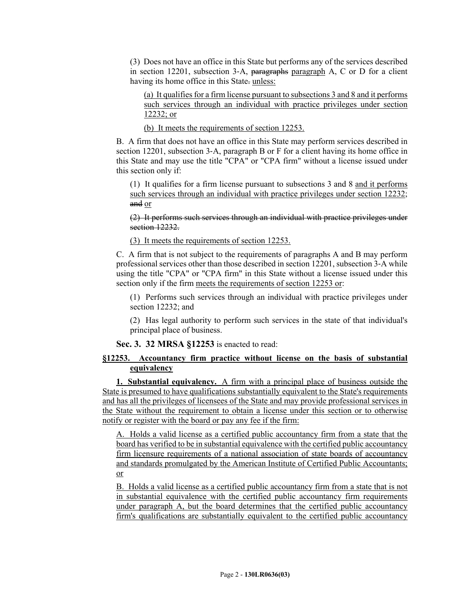(3) Does not have an office in this State but performs any of the services described in section 12201, subsection 3-A, paragraphs paragraph A, C or D for a client having its home office in this State-unless:

(a) It qualifies for a firm license pursuant to subsections 3 and 8 and it performs such services through an individual with practice privileges under section 12232; or

(b) It meets the requirements of section 12253.

B. A firm that does not have an office in this State may perform services described in section 12201, subsection 3–A, paragraph B or F for a client having its home office in this State and may use the title "CPA" or "CPA firm" without a license issued under this section only if:

(1) It qualifies for a firm license pursuant to subsections 3 and 8 and it performs such services through an individual with practice privileges under section 12232; and or

(2) It performs such services through an individual with practice privileges under section 12232.

(3) It meets the requirements of section 12253.

C. A firm that is not subject to the requirements of paragraphs A and B may perform professional services other than those described in section 12201, subsection 3‑A while using the title "CPA" or "CPA firm" in this State without a license issued under this section only if the firm meets the requirements of section 12253 or:

(1) Performs such services through an individual with practice privileges under section 12232; and

(2) Has legal authority to perform such services in the state of that individual's principal place of business.

**Sec. 3. 32 MRSA §12253** is enacted to read:

### **§12253. Accountancy firm practice without license on the basis of substantial equivalency**

**1. Substantial equivalency.** A firm with a principal place of business outside the State is presumed to have qualifications substantially equivalent to the State's requirements and has all the privileges of licensees of the State and may provide professional services in the State without the requirement to obtain a license under this section or to otherwise notify or register with the board or pay any fee if the firm:

A. Holds a valid license as a certified public accountancy firm from a state that the board has verified to be in substantial equivalence with the certified public accountancy firm licensure requirements of a national association of state boards of accountancy and standards promulgated by the American Institute of Certified Public Accountants; or

B. Holds a valid license as a certified public accountancy firm from a state that is not in substantial equivalence with the certified public accountancy firm requirements under paragraph A, but the board determines that the certified public accountancy firm's qualifications are substantially equivalent to the certified public accountancy